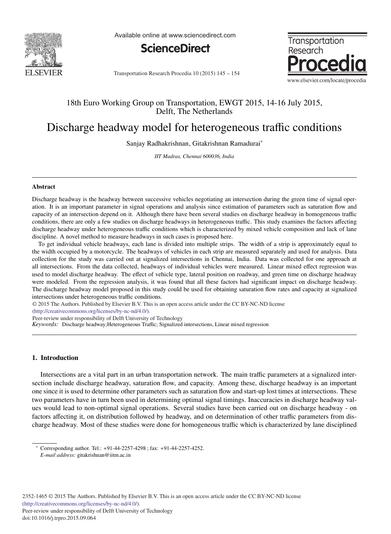

Available online at www.sciencedirect.com





Transportation Research Procedia  $10$  (2015)  $145 - 154$ 

# 18th Euro Working Group on Transportation, EWGT 2015, 14-16 July 2015, Delft, The Netherlands

# Discharge headway model for heterogeneous traffic conditions

Sanjay Radhakrishnan, Gitakrishnan Ramadurai∗

*IIT Madras, Chennai 600036, India*

#### Abstract

Discharge headway is the headway between successive vehicles negotiating an intersection during the green time of signal operation. It is an important parameter in signal operations and analysis since estimation of parameters such as saturation flow and capacity of an intersection depend on it. Although there have been several studies on discharge headway in homogeneous traffic conditions, there are only a few studies on discharge headways in heterogeneous traffic. This study examines the factors affecting discharge headway under heterogeneous traffic conditions which is characterized by mixed vehicle composition and lack of lane discipline. A novel method to measure headways in such cases is proposed here.

To get individual vehicle headways, each lane is divided into multiple strips. The width of a strip is approximately equal to the width occupied by a motorcycle. The headways of vehicles in each strip are measured separately and used for analysis. Data collection for the study was carried out at signalized intersections in Chennai, India. Data was collected for one approach at all intersections. From the data collected, headways of individual vehicles were measured. Linear mixed effect regression was used to model discharge headway. The effect of vehicle type, lateral position on roadway, and green time on discharge headway were modeled. From the regression analysis, it was found that all these factors had significant impact on discharge headway. The discharge headway model proposed in this study could be used for obtaining saturation flow rates and capacity at signalized intersections under heterogeneous traffic conditions.

© 2015 The Authors. Published by Elsevier B.V. This is an open access article under the CC BY-NC-ND license (http://creativecommons.org/licenses/by-nc-nd/4.0/).

*Keywords:* Discharge headway;Heterogeneous Traffic; Signalized intersections, Linear mixed regression Peer-review under responsibility of Delft University of Technology

# 1. Introduction

Intersections are a vital part in an urban transportation network. The main traffic parameters at a signalized intersection include discharge headway, saturation flow, and capacity. Among these, discharge headway is an important one since it is used to determine other parameters such as saturation flow and start-up lost times at intersections. These two parameters have in turn been used in determining optimal signal timings. Inaccuracies in discharge headway values would lead to non-optimal signal operations. Several studies have been carried out on discharge headway - on factors affecting it, on distribution followed by headway, and on determination of other traffic parameters from discharge headway. Most of these studies were done for homogeneous traffic which is characterized by lane disciplined

<sup>∗</sup> Corresponding author. Tel.: +91-44-2257-4298 ; fax: +91-44-2257-4252. *E-mail address:* gitakrishnan@iitm.ac.in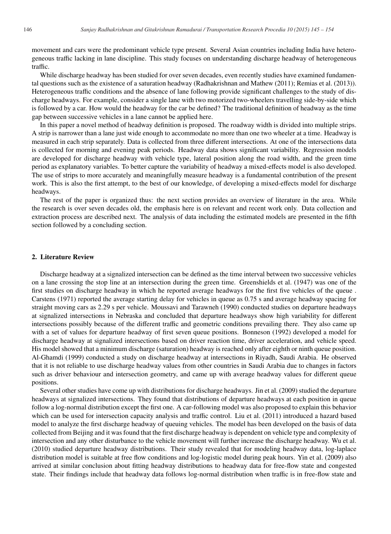movement and cars were the predominant vehicle type present. Several Asian countries including India have heterogeneous traffic lacking in lane discipline. This study focuses on understanding discharge headway of heterogeneous traffic.

While discharge headway has been studied for over seven decades, even recently studies have examined fundamental questions such as the existence of a saturation headway (Radhakrishnan and Mathew (2011); Remias et al. (2013)). Heterogeneous traffic conditions and the absence of lane following provide significant challenges to the study of discharge headways. For example, consider a single lane with two motorized two-wheelers travelling side-by-side which is followed by a car. How would the headway for the car be defined? The traditional definition of headway as the time gap between successive vehicles in a lane cannot be applied here.

In this paper a novel method of headway definition is proposed. The roadway width is divided into multiple strips. A strip is narrower than a lane just wide enough to accommodate no more than one two wheeler at a time. Headway is measured in each strip separately. Data is collected from three different intersections. At one of the intersections data is collected for morning and evening peak periods. Headway data shows significant variability. Regression models are developed for discharge headway with vehicle type, lateral position along the road width, and the green time period as explanatory variables. To better capture the variability of headway a mixed-effects model is also developed. The use of strips to more accurately and meaningfully measure headway is a fundamental contribution of the present work. This is also the first attempt, to the best of our knowledge, of developing a mixed-effects model for discharge headways.

The rest of the paper is organized thus: the next section provides an overview of literature in the area. While the research is over seven decades old, the emphasis here is on relevant and recent work only. Data collection and extraction process are described next. The analysis of data including the estimated models are presented in the fifth section followed by a concluding section.

# 2. Literature Review

Discharge headway at a signalized intersection can be defined as the time interval between two successive vehicles on a lane crossing the stop line at an intersection during the green time. Greenshields et al. (1947) was one of the first studies on discharge headway in which he reported average headways for the first five vehicles of the queue . Carstens (1971) reported the average starting delay for vehicles in queue as 0.75 s and average headway spacing for straight moving cars as 2.29 s per vehicle. Moussavi and Tarawneh (1990) conducted studies on departure headways at signalized intersections in Nebraska and concluded that departure headways show high variability for different intersections possibly because of the different traffic and geometric conditions prevailing there. They also came up with a set of values for departure headway of first seven queue positions. Bonneson (1992) developed a model for discharge headway at signalized intersections based on driver reaction time, driver acceleration, and vehicle speed. His model showed that a minimum discharge (saturation) headway is reached only after eighth or ninth queue position. Al-Ghamdi (1999) conducted a study on discharge headway at intersections in Riyadh, Saudi Arabia. He observed that it is not reliable to use discharge headway values from other countries in Saudi Arabia due to changes in factors such as driver behaviour and intersection geometry, and came up with average headway values for different queue positions.

Several other studies have come up with distributions for discharge headways. Jin et al. (2009) studied the departure headways at signalized intersections. They found that distributions of departure headways at each position in queue follow a log-normal distribution except the first one. A car-following model was also proposed to explain this behavior which can be used for intersection capacity analysis and traffic control. Liu et al. (2011) introduced a hazard based model to analyze the first discharge headway of queuing vehicles. The model has been developed on the basis of data collected from Beijing and it was found that the first discharge headway is dependent on vehicle type and complexity of intersection and any other disturbance to the vehicle movement will further increase the discharge headway. Wu et al. (2010) studied departure headway distributions. Their study revealed that for modeling headway data, log-laplace distribution model is suitable at free flow conditions and log-logistic model during peak hours. Yin et al. (2009) also arrived at similar conclusion about fitting headway distributions to headway data for free-flow state and congested state. Their findings include that headway data follows log-normal distribution when traffic is in free-flow state and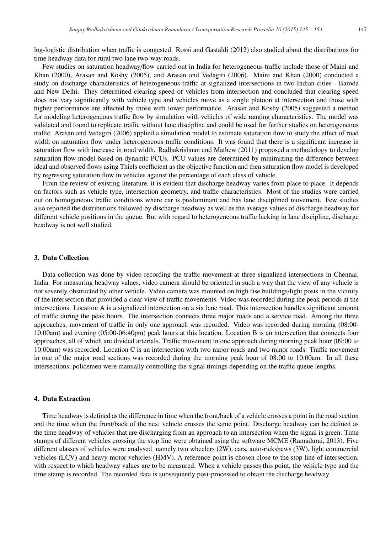log-logistic distribution when traffic is congested. Rossi and Gastaldi (2012) also studied about the distributions for time headway data for rural two lane two-way roads.

Few studies on saturation headway/flow carried out in India for heterogeneous traffic include those of Maini and Khan (2000), Arasan and Koshy (2005), and Arasan and Vedagiri (2006). Maini and Khan (2000) conducted a study on discharge characteristics of heterogeneous traffic at signalized intersections in two Indian cities - Baroda and New Delhi. They determined clearing speed of vehicles from intersection and concluded that clearing speed does not vary significantly with vehicle type and vehicles move as a single platoon at intersection and those with higher performance are affected by those with lower performance. Arasan and Koshy (2005) suggested a method for modeling heterogeneous traffic flow by simulation with vehicles of wide ranging characteristics. The model was validated and found to replicate traffic without lane discipline and could be used for further studies on heterogeneous traffic. Arasan and Vedagiri (2006) applied a simulation model to estimate saturation flow to study the effect of road width on saturation flow under heterogeneous traffic conditions. It was found that there is a significant increase in saturation flow with increase in road width. Radhakrishnan and Mathew (2011) proposed a methodology to develop saturation flow model based on dynamic PCUs. PCU values are determined by minimizing the difference between ideal and observed flows using Thiels coefficient as the objective function and then saturation flow model is developed by regressing saturation flow in vehicles against the percentage of each class of vehicle.

From the review of existing literature, it is evident that discharge headway varies from place to place. It depends on factors such as vehicle type, intersection geometry, and traffic characteristics. Most of the studies were carried out on homogeneous traffic conditions where car is predominant and has lane disciplined movement. Few studies also reported the distributions followed by discharge headway as well as the average values of discharge headway for different vehicle positions in the queue. But with regard to heterogeneous traffic lacking in lane discipline, discharge headway is not well studied.

#### 3. Data Collection

Data collection was done by video recording the traffic movement at three signalized intersections in Chennai, India. For measuring headway values, video camera should be oriented in such a way that the view of any vehicle is not severely obstructed by other vehicle. Video camera was mounted on high rise buildings/light posts in the vicinity of the intersection that provided a clear view of traffic movements. Video was recorded during the peak periods at the intersections. Location A is a signalized intersection on a six lane road. This intersection handles significant amount of traffic during the peak hours. The intersection connects three major roads and a service road. Among the three approaches, movement of traffic in only one approach was recorded. Video was recorded during morning (08:00- 10:00am) and evening (05:00-06:40pm) peak hours at this location. Location B is an intersection that connects four approaches, all of which are divided arterials. Traffic movement in one approach during morning peak hour (09:00 to 10:00am) was recorded. Location C is an intersection with two major roads and two minor roads. Traffic movement in one of the major road sections was recorded during the morning peak hour of 08:00 to 10:00am. In all these intersections, policemen were manually controlling the signal timings depending on the traffic queue lengths.

# 4. Data Extraction

Time headway is defined as the difference in time when the front/back of a vehicle crosses a point in the road section and the time when the front/back of the next vehicle crosses the same point. Discharge headway can be defined as the time headway of vehicles that are discharging from an approach to an intersection when the signal is green. Time stamps of different vehicles crossing the stop line were obtained using the software MCME (Ramadurai, 2013). Five different classes of vehicles were analysed namely two wheelers (2W), cars, auto-rickshaws (3W), light commercial vehicles (LCV) and heavy motor vehicles (HMV). A reference point is chosen close to the stop line of intersection, with respect to which headway values are to be measured. When a vehicle passes this point, the vehicle type and the time stamp is recorded. The recorded data is subsequently post-processed to obtain the discharge headway.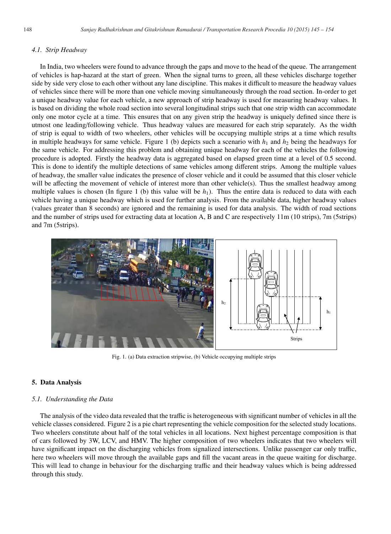# *4.1. Strip Headway*

In India, two wheelers were found to advance through the gaps and move to the head of the queue. The arrangement of vehicles is hap-hazard at the start of green. When the signal turns to green, all these vehicles discharge together side by side very close to each other without any lane discipline. This makes it difficult to measure the headway values of vehicles since there will be more than one vehicle moving simultaneously through the road section. In-order to get a unique headway value for each vehicle, a new approach of strip headway is used for measuring headway values. It is based on dividing the whole road section into several longitudinal strips such that one strip width can accommodate only one motor cycle at a time. This ensures that on any given strip the headway is uniquely defined since there is utmost one leading/following vehicle. Thus headway values are measured for each strip separately. As the width of strip is equal to width of two wheelers, other vehicles will be occupying multiple strips at a time which results in multiple headways for same vehicle. Figure 1 (b) depicts such a scenario with  $h_1$  and  $h_2$  being the headways for the same vehicle. For addressing this problem and obtaining unique headway for each of the vehicles the following procedure is adopted. Firstly the headway data is aggregated based on elapsed green time at a level of 0.5 second. This is done to identify the multiple detections of same vehicles among different strips. Among the multiple values of headway, the smaller value indicates the presence of closer vehicle and it could be assumed that this closer vehicle will be affecting the movement of vehicle of interest more than other vehicle(s). Thus the smallest headway among multiple values is chosen (In figure 1 (b) this value will be  $h_1$ ). Thus the entire data is reduced to data with each vehicle having a unique headway which is used for further analysis. From the available data, higher headway values (values greater than 8 seconds) are ignored and the remaining is used for data analysis. The width of road sections and the number of strips used for extracting data at location A, B and C are respectively 11m (10 strips), 7m (5strips) and 7m (5strips).



Fig. 1. (a) Data extraction stripwise, (b) Vehicle occupying multiple strips

#### 5. Data Analysis

# *5.1. Understanding the Data*

The analysis of the video data revealed that the traffic is heterogeneous with significant number of vehicles in all the vehicle classes considered. Figure 2 is a pie chart representing the vehicle composition for the selected study locations. Two wheelers constitute about half of the total vehicles in all locations. Next highest percentage composition is that of cars followed by 3W, LCV, and HMV. The higher composition of two wheelers indicates that two wheelers will have significant impact on the discharging vehicles from signalized intersections. Unlike passenger car only traffic, here two wheelers will move through the available gaps and fill the vacant areas in the queue waiting for discharge. This will lead to change in behaviour for the discharging traffic and their headway values which is being addressed through this study.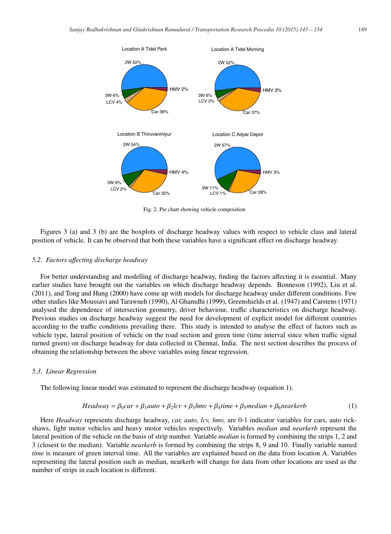

Fig. 2. Pie chart showing vehicle composition

Figures 3 (a) and 3 (b) are the boxplots of discharge headway values with respect to vehicle class and lateral position of vehicle. It can be observed that both these variables have a significant effect on discharge headway.

#### *5.2. Factors a*ff*ecting discharge headway*

For better understanding and modelling of discharge headway, finding the factors affecting it is essential. Many earlier studies have brought out the variables on which discharge headway depends. Bonneson (1992), Liu et al. (2011), and Tong and Hung (2000) have come up with models for discharge headway under different conditions. Few other studies like Moussavi and Tarawneh (1990), Al Ghamdhi (1999), Greenshields et al. (1947) and Carstens (1971) analysed the dependence of intersection geometry, driver behaviour, traffic characteristics on discharge headway. Previous studies on discharge headway suggest the need for development of explicit model for different countries according to the traffic conditions prevailing there. This study is intended to analyse the effect of factors such as vehicle type, lateral position of vehicle on the road section and green time (time interval since when traffic signal turned green) on discharge headway for data collected in Chennai, India. The next section describes the process of obtaining the relationship between the above variables using linear regression.

#### *5.3. Linear Regression*

The following linear model was estimated to represent the discharge headway (equation 1).

#### $Headway = \beta_0car + \beta_1auto + \beta_2lcv + \beta_3hmv + \beta_4time + \beta_5median + \beta_6nearkerb$  (1)

Here *Headway* represents discharge headway, *car, auto, lcv, hmv,* are 0-1 indicator variables for cars, auto rickshaws, light motor vehicles and heavy motor vehicles respectively. Variables *median* and *nearkerb* represent the lateral position of the vehicle on the basis of strip number. Variable *median* is formed by combining the strips 1, 2 and 3 (closest to the median). Variable *nearkerb* is formed by combining the strips 8, 9 and 10. Finally variable named *time* is measure of green interval time. All the variables are explained based on the data from location A. Variables representing the lateral position such as median, nearkerb will change for data from other locations are used as the number of strips in each location is different.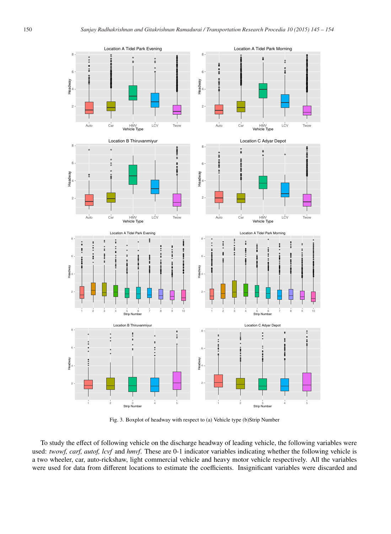

Fig. 3. Boxplot of headway with respect to (a) Vehicle type (b)Strip Number

To study the effect of following vehicle on the discharge headway of leading vehicle, the following variables were used: *twowf, carf, autof, lcvf* and *hmvf*. These are 0-1 indicator variables indicating whether the following vehicle is a two wheeler, car, auto-rickshaw, light commercial vehicle and heavy motor vehicle respectively. All the variables were used for data from different locations to estimate the coefficients. Insignificant variables were discarded and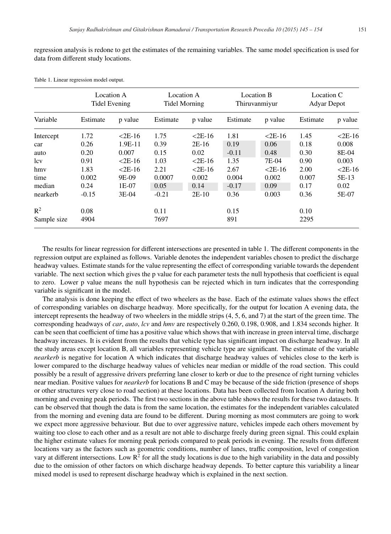regression analysis is redone to get the estimates of the remaining variables. The same model specification is used for data from different study locations.

| Variable       | Location A<br>Tidel Evening |           | Location A<br>Tidel Morning |           | Location B<br>Thiruvanmiyur |           | Location C<br>Adyar Depot |         |
|----------------|-----------------------------|-----------|-----------------------------|-----------|-----------------------------|-----------|---------------------------|---------|
|                | Estimate                    | p value   | Estimate                    | p value   | Estimate                    | p value   | Estimate                  | p value |
| Intercept      | 1.72                        | $<$ 2E-16 | 1.75                        | $<$ 2E-16 | 1.81                        | $<$ 2E-16 | 1.45                      | $2E-16$ |
| car            | 0.26                        | 1.9E-11   | 0.39                        | $2E-16$   | 0.19                        | 0.06      | 0.18                      | 0.008   |
| auto           | 0.20                        | 0.007     | 0.15                        | 0.02      | $-0.11$                     | 0.48      | 0.30                      | 8E-04   |
| lcv            | 0.91                        | $<$ 2E-16 | 1.03                        | $2E-16$   | 1.35                        | 7E-04     | 0.90                      | 0.003   |
| hmy            | 1.83                        | $<$ 2E-16 | 2.21                        | $2E-16$   | 2.67                        | $<$ 2E-16 | 2.00                      | $2E-16$ |
| time           | 0.002                       | 9E-09     | 0.0007                      | 0.002     | 0.004                       | 0.002     | 0.007                     | 5E-13   |
| median         | 0.24                        | 1E-07     | 0.05                        | 0.14      | $-0.17$                     | 0.09      | 0.17                      | 0.02    |
| nearkerb       | $-0.15$                     | 3E-04     | $-0.21$                     | $2E-10$   | 0.36                        | 0.003     | 0.36                      | 5E-07   |
| $\mathbb{R}^2$ | 0.08                        |           | 0.11                        |           | 0.15                        |           | 0.10                      |         |
| Sample size    | 4904                        |           | 7697                        |           | 891                         |           | 2295                      |         |

Table 1. Linear regression model output.

The results for linear regression for different intersections are presented in table 1. The different components in the regression output are explained as follows. Variable denotes the independent variables chosen to predict the discharge headway values. Estimate stands for the value representing the effect of corresponding variable towards the dependent variable. The next section which gives the p value for each parameter tests the null hypothesis that coefficient is equal to zero. Lower p value means the null hypothesis can be rejected which in turn indicates that the corresponding variable is significant in the model.

The analysis is done keeping the effect of two wheelers as the base. Each of the estimate values shows the effect of corresponding variables on discharge headway. More specifically, for the output for location A evening data, the intercept represents the headway of two wheelers in the middle strips (4, 5, 6, and 7) at the start of the green time. The corresponding headways of *car*, *auto*, *lcv* and *hmv* are respectively 0.260, 0.198, 0.908, and 1.834 seconds higher. It can be seen that coefficient of time has a positive value which shows that with increase in green interval time, discharge headway increases. It is evident from the results that vehicle type has significant impact on discharge headway. In all the study areas except location B, all variables representing vehicle type are significant. The estimate of the variable *nearkerb* is negative for location A which indicates that discharge headway values of vehicles close to the kerb is lower compared to the discharge headway values of vehicles near median or middle of the road section. This could possibly be a result of aggressive drivers preferring lane closer to kerb or due to the presence of right turning vehicles near median. Positive values for *nearkerb* for locations B and C may be because of the side friction (presence of shops or other structures very close to road section) at these locations. Data has been collected from location A during both morning and evening peak periods. The first two sections in the above table shows the results for these two datasets. It can be observed that though the data is from the same location, the estimates for the independent variables calculated from the morning and evening data are found to be different. During morning as most commuters are going to work we expect more aggressive behaviour. But due to over aggressive nature, vehicles impede each others movement by waiting too close to each other and as a result are not able to discharge freely during green signal. This could explain the higher estimate values for morning peak periods compared to peak periods in evening. The results from different locations vary as the factors such as geometric conditions, number of lanes, traffic composition, level of congestion vary at different intersections. Low  $\mathbb{R}^2$  for all the study locations is due to the high variability in the data and possibly due to the omission of other factors on which discharge headway depends. To better capture this variability a linear mixed model is used to represent discharge headway which is explained in the next section.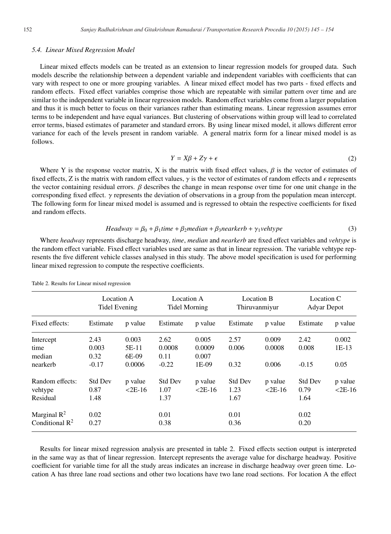#### *5.4. Linear Mixed Regression Model*

Linear mixed effects models can be treated as an extension to linear regression models for grouped data. Such models describe the relationship between a dependent variable and independent variables with coefficients that can vary with respect to one or more grouping variables. A linear mixed effect model has two parts - fixed effects and random effects. Fixed effect variables comprise those which are repeatable with similar pattern over time and are similar to the independent variable in linear regression models. Random effect variables come from a larger population and thus it is much better to focus on their variances rather than estimating means. Linear regression assumes error terms to be independent and have equal variances. But clustering of observations within group will lead to correlated error terms, biased estimates of parameter and standard errors. By using linear mixed model, it allows different error variance for each of the levels present in random variable. A general matrix form for a linear mixed model is as follows.

$$
Y = X\beta + Z\gamma + \epsilon \tag{2}
$$

Where Y is the response vector matrix, X is the matrix with fixed effect values,  $\beta$  is the vector of estimates of fixed effects, Z is the matrix with random effect values,  $\gamma$  is the vector of estimates of random effects and  $\epsilon$  represents the vector containing residual errors.  $\beta$  describes the change in mean response over time for one unit change in the corresponding fixed effect. γ represents the deviation of observations in a group from the population mean intercept. The following form for linear mixed model is assumed and is regressed to obtain the respective coefficients for fixed and random effects.

$$
Headway = \beta_0 + \beta_1 time + \beta_2 median + \beta_3 nearest + \gamma_1; otherwise \tag{3}
$$

Where *headway* represents discharge headway, *time*, *median* and *nearkerb* are fixed effect variables and *vehtype* is the random effect variable. Fixed effect variables used are same as that in linear regression. The variable vehtype represents the five different vehicle classes analysed in this study. The above model specification is used for performing linear mixed regression to compute the respective coefficients.

| Fixed effects:                                        | Location A<br>Tidel Evening    |                         | Location A<br><b>Tidel Morning</b> |                          | Location B<br>Thiruvanmiyur    |                    | Location C<br>Adyar Depot      |                    |
|-------------------------------------------------------|--------------------------------|-------------------------|------------------------------------|--------------------------|--------------------------------|--------------------|--------------------------------|--------------------|
|                                                       | Estimate                       | p value                 | Estimate                           | p value                  | Estimate                       | p value            | Estimate                       | p value            |
| Intercept<br>time<br>median                           | 2.43<br>0.003<br>0.32          | 0.003<br>5E-11<br>6E-09 | 2.62<br>0.0008<br>0.11             | 0.005<br>0.0009<br>0.007 | 2.57<br>0.006                  | 0.009<br>0.0008    | 2.42<br>0.008                  | 0.002<br>$1E-13$   |
| nearkerb                                              | $-0.17$                        | 0.0006                  | $-0.22$                            | 1E-09                    | 0.32                           | 0.006              | $-0.15$                        | 0.05               |
| Random effects:<br>vehtype<br>Residual                | <b>Std Dev</b><br>0.87<br>1.48 | p value<br>$2E-16$      | <b>Std Dev</b><br>1.07<br>1.37     | p value<br>$2E-16$       | <b>Std Dev</b><br>1.23<br>1.67 | p value<br>$2E-16$ | <b>Std Dev</b><br>0.79<br>1.64 | p value<br>$2E-16$ |
| Marginal $\mathbb{R}^2$<br>Conditional $\mathbb{R}^2$ | 0.02<br>0.27                   |                         | 0.01<br>0.38                       |                          | 0.01<br>0.36                   |                    | 0.02<br>0.20                   |                    |

Table 2. Results for Linear mixed regression

Results for linear mixed regression analysis are presented in table 2. Fixed effects section output is interpreted in the same way as that of linear regression. Intercept represents the average value for discharge headway. Positive coefficient for variable time for all the study areas indicates an increase in discharge headway over green time. Location A has three lane road sections and other two locations have two lane road sections. For location A the effect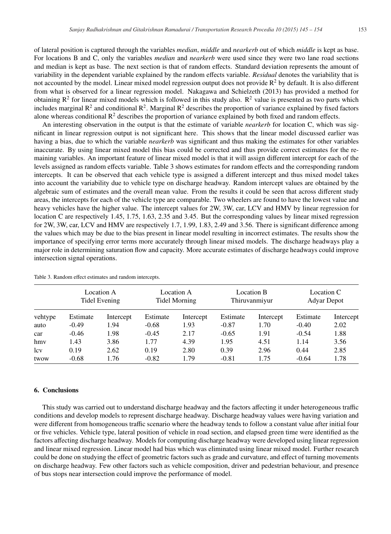of lateral position is captured through the variables *median*, *middle* and *nearkerb* out of which *middle* is kept as base. For locations B and C, only the variables *median* and *nearkerb* were used since they were two lane road sections and median is kept as base. The next section is that of random effects. Standard deviation represents the amount of variability in the dependent variable explained by the random effects variable. *Residual* denotes the variability that is not accounted by the model. Linear mixed model regression output does not provide  $R^2$  by default. It is also different from what is observed for a linear regression model. Nakagawa and Schielzeth (2013) has provided a method for obtaining  $R^2$  for linear mixed models which is followed in this study also.  $R^2$  value is presented as two parts which includes marginal  $\mathbb{R}^2$  and conditional  $\mathbb{R}^2$ . Marginal  $\mathbb{R}^2$  describes the proportion of variance explained by fixed factors alone whereas conditional  $R^2$  describes the proportion of variance explained by both fixed and random effects.

An interesting observation in the output is that the estimate of variable *nearkerb* for location C, which was significant in linear regression output is not significant here. This shows that the linear model discussed earlier was having a bias, due to which the variable *nearkerb* was significant and thus making the estimates for other variables inaccurate. By using linear mixed model this bias could be corrected and thus provide correct estimates for the remaining variables. An important feature of linear mixed model is that it will assign different intercept for each of the levels assigned as random effects variable. Table 3 shows estimates for random effects and the corresponding random intercepts. It can be observed that each vehicle type is assigned a different intercept and thus mixed model takes into account the variability due to vehicle type on discharge headway. Random intercept values are obtained by the algebraic sum of estimates and the overall mean value. From the results it could be seen that across different study areas, the intercepts for each of the vehicle type are comparable. Two wheelers are found to have the lowest value and heavy vehicles have the higher value. The intercept values for 2W, 3W, car, LCV and HMV by linear regression for location C are respectively 1.45, 1.75, 1.63, 2.35 and 3.45. But the corresponding values by linear mixed regression for 2W, 3W, car, LCV and HMV are respectively 1.7, 1.99, 1.83, 2.49 and 3.56. There is significant difference among the values which may be due to the bias present in linear model resulting in incorrect estimates. The results show the importance of specifying error terms more accurately through linear mixed models. The discharge headways play a major role in determining saturation flow and capacity. More accurate estimates of discharge headways could improve intersection signal operations.

|         | Location A<br>Tidel Evening |           | Location A<br>Tidel Morning |           | Location B<br>Thiruvanmiyur |           | Location C<br>Adyar Depot |           |
|---------|-----------------------------|-----------|-----------------------------|-----------|-----------------------------|-----------|---------------------------|-----------|
| vehtype | Estimate                    | Intercept | Estimate                    | Intercept | Estimate                    | Intercept | Estimate                  | Intercept |
| auto    | $-0.49$                     | 1.94      | $-0.68$                     | 1.93      | $-0.87$                     | 1.70      | $-0.40$                   | 2.02      |
| car     | $-0.46$                     | 1.98      | $-0.45$                     | 2.17      | $-0.65$                     | 1.91      | $-0.54$                   | 1.88      |
| hmy     | $\frac{1.43}{2}$            | 3.86      | 1.77                        | 4.39      | 1.95                        | 4.51      | 1.14                      | 3.56      |
| lcv     | 0.19                        | 2.62      | 0.19                        | 2.80      | 0.39                        | 2.96      | 0.44                      | 2.85      |
| twow    | $-0.68$                     | 1.76      | $-0.82$                     | 1.79      | $-0.81$                     | 1.75      | $-0.64$                   | 1.78      |

Table 3. Random effect estimates and random intercepts.

# 6. Conclusions

This study was carried out to understand discharge headway and the factors affecting it under heterogeneous traffic conditions and develop models to represent discharge headway. Discharge headway values were having variation and were different from homogeneous traffic scenario where the headway tends to follow a constant value after initial four or five vehicles. Vehicle type, lateral position of vehicle in road section, and elapsed green time were identified as the factors affecting discharge headway. Models for computing discharge headway were developed using linear regression and linear mixed regression. Linear model had bias which was eliminated using linear mixed model. Further research could be done on studying the effect of geometric factors such as grade and curvature, and effect of turning movements on discharge headway. Few other factors such as vehicle composition, driver and pedestrian behaviour, and presence of bus stops near intersection could improve the performance of model.